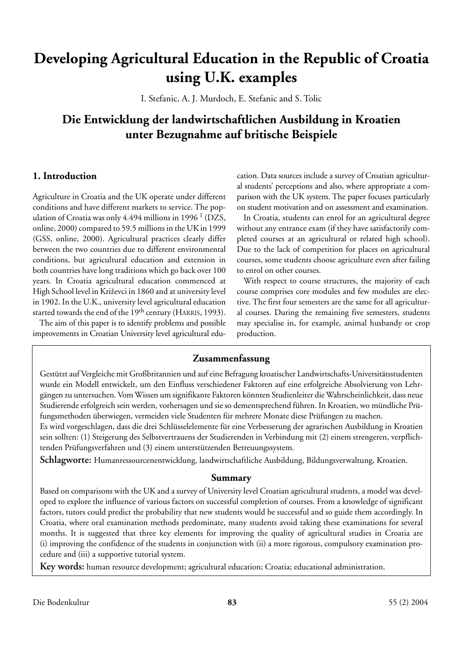# **Developing Agricultural Education in the Republic of Croatia using U.K. examples**

I. Stefanic, A. J. Murdoch, E. Stefanic and S. Tolic

# **Die Entwicklung der landwirtschaftlichen Ausbildung in Kroatien unter Bezugnahme auf britische Beispiele**

# **1. Introduction**

Agriculture in Croatia and the UK operate under different conditions and have different markets to service. The population of Croatia was only 4.494 millions in 1996<sup>1</sup> (DZS, online, 2000) compared to 59.5 millions in the UK in 1999 (GSS, online, 2000). Agricultural practices clearly differ between the two countries due to different environmental conditions, but agricultural education and extension in both countries have long traditions which go back over 100 years. In Croatia agricultural education commenced at High School level in Križevci in 1860 and at university level in 1902. In the U.K., university level agricultural education started towards the end of the 19<sup>th</sup> century (HARRIS, 1993).

The aim of this paper is to identify problems and possible improvements in Croatian University level agricultural education. Data sources include a survey of Croatian agricultural students' perceptions and also, where appropriate a comparison with the UK system. The paper focuses particularly on student motivation and on assessment and examination.

In Croatia, students can enrol for an agricultural degree without any entrance exam (if they have satisfactorily completed courses at an agricultural or related high school). Due to the lack of competition for places on agricultural courses, some students choose agriculture even after failing to enrol on other courses.

With respect to course structures, the majority of each course comprises core modules and few modules are elective. The first four semesters are the same for all agricultural courses. During the remaining five semesters, students may specialise in, for example, animal husbandy or crop production.

# **Zusammenfassung**

Gestützt auf Vergleiche mit Großbritannien und auf eine Befragung kroatischer Landwirtschafts-Universitätsstudenten wurde ein Modell entwickelt, um den Einfluss verschiedener Faktoren auf eine erfolgreiche Absolvierung von Lehrgängen zu untersuchen. Vom Wissen um signifikante Faktoren könnten Studienleiter die Wahrscheinlichkeit, dass neue Studierende erfolgreich sein werden, vorhersagen und sie so dementsprechend führen. In Kroatien, wo mündliche Prüfungsmethoden überwiegen, vermeiden viele Studenten für mehrere Monate diese Prüfungen zu machen.

Es wird vorgeschlagen, dass die drei Schlüsselelemente für eine Verbesserung der agrarischen Ausbildung in Kroatien sein sollten: (1) Steigerung des Selbstvertrauens der Studierenden in Verbindung mit (2) einem strengeren, verpflichtenden Prüfungsverfahren und (3) einem unterstützenden Betreuungssystem.

**Schlagworte:** Humanressourcenentwicklung, landwirtschaftliche Ausbildung, Bildungsverwaltung, Kroatien.

# **Summary**

Based on comparisons with the UK and a survey of University level Croatian agricultural students, a model was developed to explore the influence of various factors on successful completion of courses. From a knowledge of significant factors, tutors could predict the probability that new students would be successful and so guide them accordingly. In Croatia, where oral examination methods predominate, many students avoid taking these examinations for several months. It is suggested that three key elements for improving the quality of agricultural studies in Croatia are (i) improving the confidence of the students in conjunction with (ii) a more rigorous, compulsory examination procedure and (iii) a supportive tutorial system.

**Key words:** human resource development; agricultural education; Croatia; educational administration.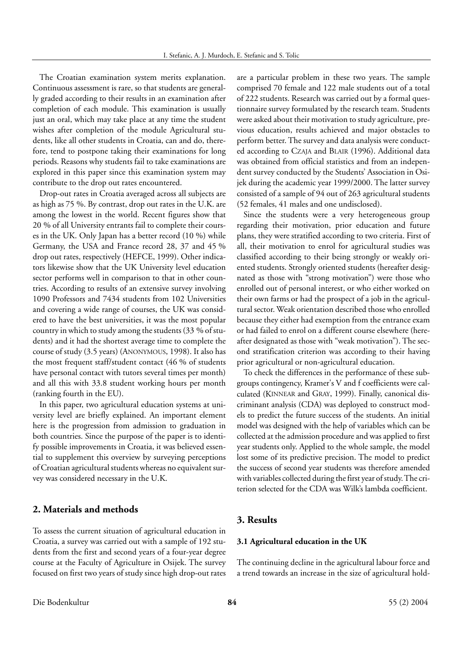The Croatian examination system merits explanation. Continuous assessment is rare, so that students are generally graded according to their results in an examination after completion of each module. This examination is usually just an oral, which may take place at any time the student wishes after completion of the module Agricultural students, like all other students in Croatia, can and do, therefore, tend to postpone taking their examinations for long periods. Reasons why students fail to take examinations are explored in this paper since this examination system may contribute to the drop out rates encountered.

Drop-out rates in Croatia averaged across all subjects are as high as 75 %. By contrast, drop out rates in the U.K. are among the lowest in the world. Recent figures show that 20 % of all University entrants fail to complete their courses in the UK. Only Japan has a better record (10 %) while Germany, the USA and France record 28, 37 and 45 % drop out rates, respectively (HEFCE, 1999). Other indicators likewise show that the UK University level education sector performs well in comparison to that in other countries. According to results of an extensive survey involving 1090 Professors and 7434 students from 102 Universities and covering a wide range of courses, the UK was considered to have the best universities, it was the most popular country in which to study among the students (33 % of students) and it had the shortest average time to complete the course of study (3.5 years) (ANONYMOUS, 1998). It also has the most frequent staff/student contact (46 % of students have personal contact with tutors several times per month) and all this with 33.8 student working hours per month (ranking fourth in the EU).

In this paper, two agricultural education systems at university level are briefly explained. An important element here is the progression from admission to graduation in both countries. Since the purpose of the paper is to identify possible improvements in Croatia, it was believed essential to supplement this overview by surveying perceptions of Croatian agricultural students whereas no equivalent survey was considered necessary in the U.K.

# **2. Materials and methods**

To assess the current situation of agricultural education in Croatia, a survey was carried out with a sample of 192 students from the first and second years of a four-year degree course at the Faculty of Agriculture in Osijek. The survey focused on first two years of study since high drop-out rates are a particular problem in these two years. The sample comprised 70 female and 122 male students out of a total of 222 students. Research was carried out by a formal questionnaire survey formulated by the research team. Students were asked about their motivation to study agriculture, previous education, results achieved and major obstacles to perform better. The survey and data analysis were conducted according to CZAJA and BLAIR (1996). Additional data was obtained from official statistics and from an independent survey conducted by the Students' Association in Osijek during the academic year 1999/2000. The latter survey consisted of a sample of 94 out of 263 agricultural students (52 females, 41 males and one undisclosed).

Since the students were a very heterogeneous group regarding their motivation, prior education and future plans, they were stratified according to two criteria. First of all, their motivation to enrol for agricultural studies was classified according to their being strongly or weakly oriented students. Strongly oriented students (hereafter designated as those with "strong motivation") were those who enrolled out of personal interest, or who either worked on their own farms or had the prospect of a job in the agricultural sector. Weak orientation described those who enrolled because they either had exemption from the entrance exam or had failed to enrol on a different course elsewhere (hereafter designated as those with "weak motivation"). The second stratification criterion was according to their having prior agricultural or non-agricultural education.

To check the differences in the performance of these subgroups contingency, Kramer's V and f coefficients were calculated (KINNEAR and GRAY, 1999). Finally, canonical discriminant analysis (CDA) was deployed to construct models to predict the future success of the students. An initial model was designed with the help of variables which can be collected at the admission procedure and was applied to first year students only. Applied to the whole sample, the model lost some of its predictive precision. The model to predict the success of second year students was therefore amended with variables collected during the first year of study. The criterion selected for the CDA was Wilk's lambda coefficient.

### **3. Results**

# **3.1 Agricultural education in the UK**

The continuing decline in the agricultural labour force and a trend towards an increase in the size of agricultural hold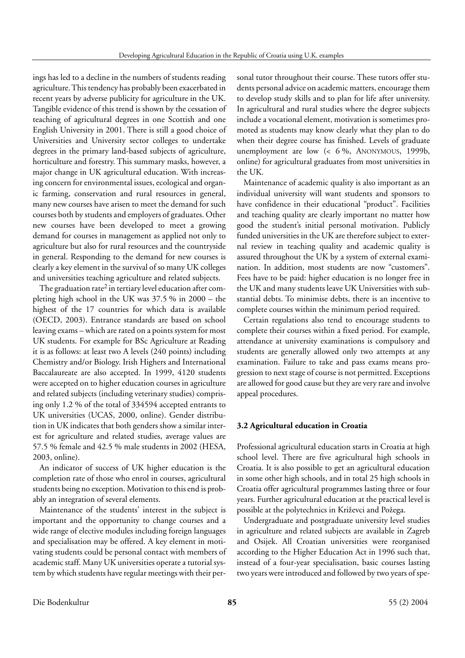ings has led to a decline in the numbers of students reading agriculture. This tendency has probably been exacerbated in recent years by adverse publicity for agriculture in the UK. Tangible evidence of this trend is shown by the cessation of teaching of agricultural degrees in one Scottish and one English University in 2001. There is still a good choice of Universities and University sector colleges to undertake degrees in the primary land-based subjects of agriculture, horticulture and forestry. This summary masks, however, a major change in UK agricultural education. With increasing concern for environmental issues, ecological and organic farming, conservation and rural resources in general, many new courses have arisen to meet the demand for such courses both by students and employers of graduates. Other new courses have been developed to meet a growing demand for courses in management as applied not only to agriculture but also for rural resources and the countryside in general. Responding to the demand for new courses is clearly a key element in the survival of so many UK colleges and universities teaching agriculture and related subjects.

The graduation rate<sup>2</sup> in tertiary level education after completing high school in the UK was 37.5 % in 2000 – the highest of the 17 countries for which data is available (OECD, 2003). Entrance standards are based on school leaving exams – which are rated on a points system for most UK students. For example for BSc Agriculture at Reading it is as follows: at least two A levels (240 points) including Chemistry and/or Biology. Irish Highers and International Baccalaureate are also accepted. In 1999, 4120 students were accepted on to higher education courses in agriculture and related subjects (including veterinary studies) comprising only 1.2 % of the total of 334594 accepted entrants to UK universities (UCAS, 2000, online). Gender distribution in UK indicates that both genders show a similar interest for agriculture and related studies, average values are 57.5 % female and 42.5 % male students in 2002 (HESA, 2003, online).

An indicator of success of UK higher education is the completion rate of those who enrol in courses, agricultural students being no exception. Motivation to this end is probably an integration of several elements.

Maintenance of the students' interest in the subject is important and the opportunity to change courses and a wide range of elective modules including foreign languages and specialisation may be offered. A key element in motivating students could be personal contact with members of academic staff. Many UK universities operate a tutorial system by which students have regular meetings with their personal tutor throughout their course. These tutors offer students personal advice on academic matters, encourage them to develop study skills and to plan for life after university. In agricultural and rural studies where the degree subjects include a vocational element, motivation is sometimes promoted as students may know clearly what they plan to do when their degree course has finished. Levels of graduate unemployment are low (< 6 %, ANONYMOUS, 1999b, online) for agricultural graduates from most universities in the UK.

Maintenance of academic quality is also important as an individual university will want students and sponsors to have confidence in their educational "product". Facilities and teaching quality are clearly important no matter how good the student's initial personal motivation. Publicly funded universities in the UK are therefore subject to external review in teaching quality and academic quality is assured throughout the UK by a system of external examination. In addition, most students are now "customers". Fees have to be paid: higher education is no longer free in the UK and many students leave UK Universities with substantial debts. To minimise debts, there is an incentive to complete courses within the minimum period required.

Certain regulations also tend to encourage students to complete their courses within a fixed period. For example, attendance at university examinations is compulsory and students are generally allowed only two attempts at any examination. Failure to take and pass exams means progression to next stage of course is not permitted. Exceptions are allowed for good cause but they are very rare and involve appeal procedures.

#### **3.2 Agricultural education in Croatia**

Professional agricultural education starts in Croatia at high school level. There are five agricultural high schools in Croatia. It is also possible to get an agricultural education in some other high schools, and in total 25 high schools in Croatia offer agricultural programmes lasting three or four years. Further agricultural education at the practical level is possible at the polytechnics in Križevci and Požega.

Undergraduate and postgraduate university level studies in agriculture and related subjects are available in Zagreb and Osijek. All Croatian universities were reorganised according to the Higher Education Act in 1996 such that, instead of a four-year specialisation, basic courses lasting two years were introduced and followed by two years of spe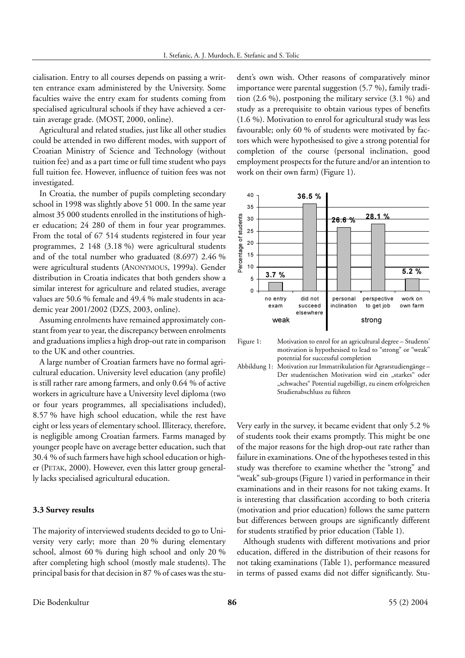cialisation. Entry to all courses depends on passing a written entrance exam administered by the University. Some faculties waive the entry exam for students coming from specialised agricultural schools if they have achieved a certain average grade. (MOST, 2000, online).

Agricultural and related studies, just like all other studies could be attended in two different modes, with support of Croatian Ministry of Science and Technology (without tuition fee) and as a part time or full time student who pays full tuition fee. However, influence of tuition fees was not investigated.

In Croatia, the number of pupils completing secondary school in 1998 was slightly above 51 000. In the same year almost 35 000 students enrolled in the institutions of higher education; 24 280 of them in four year programmes. From the total of 67 514 students registered in four year programmes, 2 148 (3.18 %) were agricultural students and of the total number who graduated (8.697) 2.46 % were agricultural students (ANONYMOUS, 1999a). Gender distribution in Croatia indicates that both genders show a similar interest for agriculture and related studies, average values are 50.6 % female and 49.4 % male students in academic year 2001/2002 (DZS, 2003, online).

Assuming enrolments have remained approximately constant from year to year, the discrepancy between enrolments and graduations implies a high drop-out rate in comparison to the UK and other countries.

A large number of Croatian farmers have no formal agricultural education. University level education (any profile) is still rather rare among farmers, and only 0.64 % of active workers in agriculture have a University level diploma (two or four years programmes, all specialisations included), 8.57 % have high school education, while the rest have eight or less years of elementary school. Illiteracy, therefore, is negligible among Croatian farmers. Farms managed by younger people have on average better education, such that 30.4 % of such farmers have high school education or higher (PETAK, 2000). However, even this latter group generally lacks specialised agricultural education.

#### **3.3 Survey results**

The majority of interviewed students decided to go to University very early; more than 20 % during elementary school, almost 60 % during high school and only 20 % after completing high school (mostly male students). The principal basis for that decision in 87 % of cases was the student's own wish. Other reasons of comparatively minor importance were parental suggestion (5.7 %), family tradition (2.6 %), postponing the military service (3.1 %) and study as a prerequisite to obtain various types of benefits (1.6 %). Motivation to enrol for agricultural study was less favourable; only 60 % of students were motivated by factors which were hypothesised to give a strong potential for completion of the course (personal inclination, good employment prospects for the future and/or an intention to work on their own farm) (Figure 1).



Figure 1: Motivation to enrol for an agricultural degree – Students' motivation is hypothesised to lead to "strong" or "weak" potential for successful completion

Very early in the survey, it became evident that only 5.2 % of students took their exams promptly. This might be one of the major reasons for the high drop-out rate rather than failure in examinations. One of the hypotheses tested in this study was therefore to examine whether the "strong" and "weak" sub-groups (Figure 1) varied in performance in their examinations and in their reasons for not taking exams. It is interesting that classification according to both criteria (motivation and prior education) follows the same pattern but differences between groups are significantly different for students stratified by prior education (Table 1).

Although students with different motivations and prior education, differed in the distribution of their reasons for not taking examinations (Table 1), performance measured in terms of passed exams did not differ significantly. Stu-

Abbildung 1: Motivation zur Immatrikulation für Agrarstudiengänge – Der studentischen Motivation wird ein "starkes" oder "schwaches" Potential zugebilligt, zu einem erfolgreichen Studienabschluss zu führen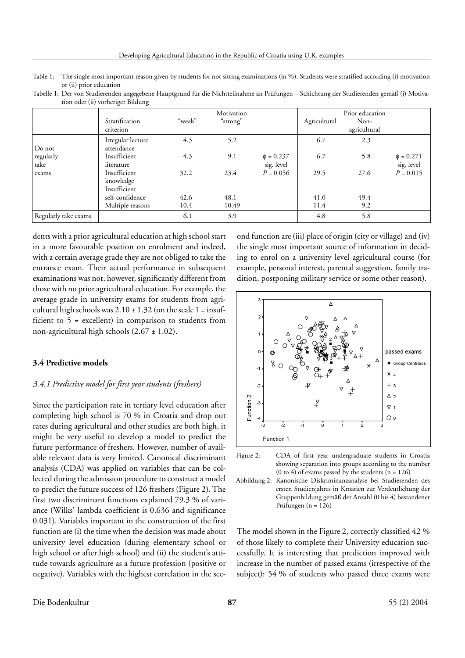Table 1: The single most important reason given by students for not sitting examinations (in %). Students were stratified according (i) motivation or (ii) prior education

Tabelle 1: Der von Studierenden angegebene Hauptgrund für die Nichtteilnahme an Prüfungen – Schichtung der Studierenden gemäß (i) Motivation oder (ii) vorheriger Bildung

|                      | Stratification<br>criterion               | "weak" | Motivation<br>"strong" |                              | Agricultural | Prior education<br>Non-<br>agricultural |                              |
|----------------------|-------------------------------------------|--------|------------------------|------------------------------|--------------|-----------------------------------------|------------------------------|
| Do not               | Irregular lecture<br>attendance           | 4.3    | 5.2                    |                              | 6.7          | 2.3                                     |                              |
| regularly<br>take    | Insufficient<br>literature                | 4.3    | 9.1                    | $\phi = 0.237$<br>sig. level | 6.7          | 5.8                                     | $\phi = 0.271$<br>sig. level |
| exams                | Insufficient<br>knowledge<br>Insufficient | 32.2   | 23.4                   | $P = 0.056$                  | 29.5         | 27.6                                    | $P = 0.015$                  |
|                      | self-confidence                           | 42.6   | 48.1                   |                              | 41.0         | 49.4                                    |                              |
|                      | Multiple reasons                          | 10.4   | 10.49                  |                              | 11.4         | 9.2                                     |                              |
| Regularly take exams |                                           | 6.1    | 3.9                    |                              | 4.8          | 5.8                                     |                              |

dents with a prior agricultural education at high school start in a more favourable position on enrolment and indeed, with a certain average grade they are not obliged to take the entrance exam. Their actual performance in subsequent examinations was not, however, significantly different from those with no prior agricultural education. For example, the average grade in university exams for students from agricultural high schools was  $2.10 \pm 1.32$  (on the scale 1 = insufficient to 5 = excellent) in comparison to students from non-agricultural high schools (2.67 ± 1.02).

#### **3.4 Predictive models**

#### *3.4.1 Predictive model for first year students (freshers)*

Since the participation rate in tertiary level education after completing high school is 70 % in Croatia and drop out rates during agricultural and other studies are both high, it might be very useful to develop a model to predict the future performance of freshers. However, number of available relevant data is very limited. Canonical discriminant analysis (CDA) was applied on variables that can be collected during the admission procedure to construct a model to predict the future success of 126 freshers (Figure 2). The first two discriminant functions explained 79.3 % of variance (Wilks' lambda coefficient is 0.636 and significance 0.031). Variables important in the construction of the first function are (i) the time when the decision was made about university level education (during elementary school or high school or after high school) and (ii) the student's attitude towards agriculture as a future profession (positive or negative). Variables with the highest correlation in the second function are (iii) place of origin (city or village) and (iv) the single most important source of information in deciding to enrol on a university level agricultural course (for example, personal interest, parental suggestion, family tradition, postponing military service or some other reason).





Abbildung 2: Kanonische Diskriminanzanalyse bei Studierenden des ersten Studienjahres in Kroatien zur Verdeutlichung der Gruppenbildung gemäß der Anzahl (0 bis 4) bestandener Prüfungen (n = 126)

The model shown in the Figure 2, correctly classified 42 % of those likely to complete their University education successfully. It is interesting that prediction improved with increase in the number of passed exams (irrespective of the subject): 54 % of students who passed three exams were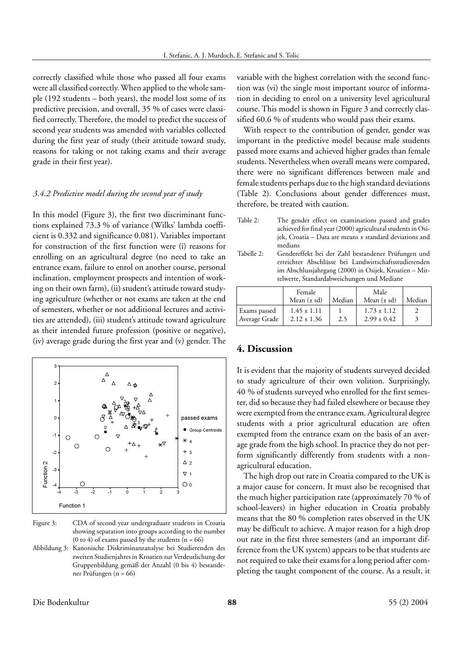correctly classified while those who passed all four exams were all classified correctly. When applied to the whole sample (192 students – both years), the model lost some of its predictive precision, and overall, 35 % of cases were classified correctly. Therefore, the model to predict the success of second year students was amended with variables collected during the first year of study (their attitude toward study, reasons for taking or not taking exams and their average grade in their first year).

#### *3.4.2 Predictive model during the second year of study*

In this model (Figure 3), the first two discriminant functions explained 73.3 % of variance (Wilks' lambda coefficient is 0.332 and significance 0.081). Variables important for construction of the first function were (i) reasons for enrolling on an agricultural degree (no need to take an entrance exam, failure to enrol on another course, personal inclination, employment prospects and intention of working on their own farm), (ii) student's attitude toward studying agriculture (whether or not exams are taken at the end of semesters, whether or not additional lectures and activities are attended), (iii) student's attitude toward agriculture as their intended future profession (positive or negative), (iv) average grade during the first year and (v) gender. The



Figure 3: CDA of second year undergraduate students in Croatia showing separation into groups according to the number (0 to 4) of exams passed by the students  $(n = 66)$ 

Abbildung 3: Kanonische Diskriminanzanalyse bei Studierenden des zweiten Studienjahres in Kroatien zur Verdeutlichung der Gruppenbildung gemäß der Anzahl (0 bis 4) bestandener Prüfungen (n = 66)

variable with the highest correlation with the second function was (vi) the single most important source of information in deciding to enrol on a university level agricultural course. This model is shown in Figure 3 and correctly classified 60.6 % of students who would pass their exams.

With respect to the contribution of gender, gender was important in the predictive model because male students passed more exams and achieved higher grades than female students. Nevertheless when overall means were compared, there were no significant differences between male and female students perhaps due to the high standard deviations (Table 2). Conclusions about gender differences must, therefore, be treated with caution.

Table 2: The gender effect on examinations passed and grades achieved for final year (2000) agricultural students in Osijek, Croatia – Data are means ± standard deviations and medians Tabelle 2: Gendereffekt bei der Zahl bestandener Prüfungen und erreichter Abschlüsse bei Landwirtschaftsstudierenden

im Abschlussjahrgang (2000) in Osijek, Kroatien – Mittelwerte, Standardabweichungen und Mediane Female | Male

|                               | Female                             |        | Male                               |        |
|-------------------------------|------------------------------------|--------|------------------------------------|--------|
|                               | Mean $(\pm sd)$                    | Median | Mean $(\pm sd)$                    | Median |
| Exams passed<br>Average Grade | $1.45 \pm 1.11$<br>$2.12 \pm 1.36$ | 2.5    | $1.73 \pm 1.12$<br>$2.99 \pm 0.42$ |        |

# **4. Discussion**

It is evident that the majority of students surveyed decided to study agriculture of their own volition. Surprisingly, 40 % of students surveyed who enrolled for the first semester, did so because they had failed elsewhere or because they were exempted from the entrance exam. Agricultural degree students with a prior agricultural education are often exempted from the entrance exam on the basis of an average grade from the high school. In practice they do not perform significantly differently from students with a nonagricultural education.

The high drop out rate in Croatia compared to the UK is a major cause for concern. It must also be recognised that the much higher participation rate (approximately 70 % of school-leavers) in higher education in Croatia probably means that the 80 % completion rates observed in the UK may be difficult to achieve. A major reason for a high drop out rate in the first three semesters (and an important difference from the UK system) appears to be that students are not required to take their exams for a long period after completing the taught component of the course. As a result, it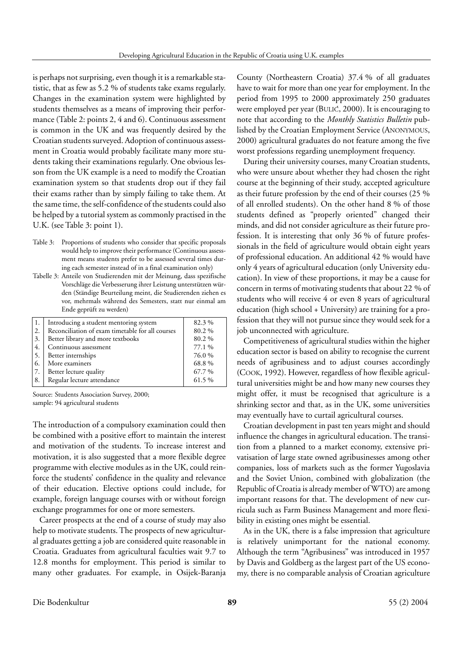is perhaps not surprising, even though it is a remarkable statistic, that as few as 5.2 % of students take exams regularly. Changes in the examination system were highlighted by students themselves as a means of improving their performance (Table 2: points 2, 4 and 6). Continuous assessment is common in the UK and was frequently desired by the Croatian students surveyed. Adoption of continuous assessment in Croatia would probably facilitate many more students taking their examinations regularly. One obvious lesson from the UK example is a need to modify the Croatian examination system so that students drop out if they fail their exams rather than by simply failing to take them. At the same time, the self-confidence of the students could also be helped by a tutorial system as commonly practised in the U.K. (see Table 3: point 1).

- Table 3: Proportions of students who consider that specific proposals would help to improve their performance (Continuous assessment means students prefer to be assessed several times during each semester instead of in a final examination only)
- Tabelle 3: Anteile von Studierenden mit der Meinung, dass spezifische Vorschläge die Verbesserung ihrer Leistung unterstützen würden (Ständige Beurteilung meint, die Studierenden ziehen es vor, mehrmals während des Semesters, statt nur einmal am Ende geprüft zu werden)

|                  | Introducing a student mentoring system           | 82.3%  |
|------------------|--------------------------------------------------|--------|
| $\overline{2}$ . | Reconciliation of exam timetable for all courses | 80.2%  |
| $\overline{3}$ . | Better library and more textbooks                | 80.2%  |
| 4.               | Continuous assessment                            | 77.1 % |
| $\overline{5}$ . | Better internships                               | 76.0%  |
| -6.              | More examiners                                   | 68.8%  |
| 17.              | Better lecture quality                           | 67.7 % |
| 8.               | Regular lecture attendance                       | 61.5 % |

Source: Students Association Survey, 2000; sample: 94 agricultural students

The introduction of a compulsory examination could then be combined with a positive effort to maintain the interest and motivation of the students. To increase interest and motivation, it is also suggested that a more flexible degree programme with elective modules as in the UK, could reinforce the students' confidence in the quality and relevance of their education. Elective options could include, for example, foreign language courses with or without foreign exchange programmes for one or more semesters.

Career prospects at the end of a course of study may also help to motivate students. The prospects of new agricultural graduates getting a job are considered quite reasonable in Croatia. Graduates from agricultural faculties wait 9.7 to 12.8 months for employment. This period is similar to many other graduates. For example, in Osijek-Baranja County (Northeastern Croatia) 37.4 % of all graduates have to wait for more than one year for employment. In the period from 1995 to 2000 approximately 250 graduates were employed per year (BULIC, 2000). It is encouraging to note that according to the *Monthly Statistics Bulletin* published by the Croatian Employment Service (ANONYMOUS, 2000) agricultural graduates do not feature among the five worst professions regarding unemployment frequency.

During their university courses, many Croatian students, who were unsure about whether they had chosen the right course at the beginning of their study, accepted agriculture as their future profession by the end of their courses (25 % of all enrolled students). On the other hand 8 % of those students defined as "properly oriented" changed their minds, and did not consider agriculture as their future profession. It is interesting that only 36 % of future professionals in the field of agriculture would obtain eight years of professional education. An additional 42 % would have only 4 years of agricultural education (only University education). In view of these proportions, it may be a cause for concern in terms of motivating students that about 22 % of students who will receive 4 or even 8 years of agricultural education (high school + University) are training for a profession that they will not pursue since they would seek for a job unconnected with agriculture.

Competitiveness of agricultural studies within the higher education sector is based on ability to recognise the current needs of agribusiness and to adjust courses accordingly (COOK, 1992). However, regardless of how flexible agricultural universities might be and how many new courses they might offer, it must be recognised that agriculture is a shrinking sector and that, as in the UK, some universities may eventually have to curtail agricultural courses.

Croatian development in past ten years might and should influence the changes in agricultural education. The transition from a planned to a market economy, extensive privatisation of large state owned agribusinesses among other companies, loss of markets such as the former Yugoslavia and the Soviet Union, combined with globalization (the Republic of Croatia is already member of WTO) are among important reasons for that. The development of new curricula such as Farm Business Management and more flexibility in existing ones might be essential.

As in the UK, there is a false impression that agriculture is relatively unimportant for the national economy. Although the term "Agribusiness" was introduced in 1957 by Davis and Goldberg as the largest part of the US economy, there is no comparable analysis of Croatian agriculture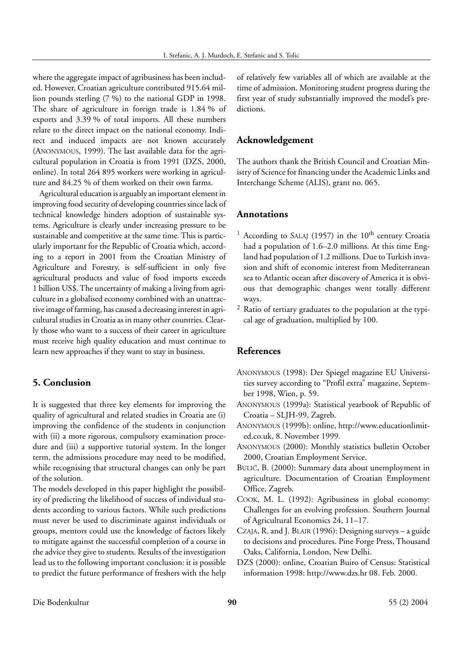where the aggregate impact of agribusiness has been included. However, Croatian agriculture contributed 915.64 million pounds sterling (7 %) to the national GDP in 1998. The share of agriculture in foreign trade is 1.84 % of exports and 3.39 % of total imports. All these numbers relate to the direct impact on the national economy. Indirect and induced impacts are not known accurately (ANONYMOUS, 1999). The last available data for the agricultural population in Croatia is from 1991 (DZS, 2000, online). In total 264 895 workers were working in agriculture and 84.25 % of them worked on their own farms.

Agricultural education is arguably an important element in improving food security of developing countries since lack of technical knowledge hinders adoption of sustainable systems. Agriculture is clearly under increasing pressure to be sustainable and competitive at the same time. This is particularly important for the Republic of Croatia which, according to a report in 2001 from the Croatian Ministry of Agriculture and Forestry, is self-sufficient in only five agricultural products and value of food imports exceeds 1 billion US\$. The uncertainty of making a living from agriculture in a globalised economy combined with an unattractive image of farming, has caused a decreasing interest in agricultural studies in Croatia as in many other countries. Clearly those who want to a success of their career in agriculture must receive high quality education and must continue to learn new approaches if they want to stay in business.

# **5. Conclusion**

It is suggested that three key elements for improving the quality of agricultural and related studies in Croatia are (i) improving the confidence of the students in conjunction with (ii) a more rigorous, compulsory examination procedure and (iii) a supportive tutorial system. In the longer term, the admissions procedure may need to be modified, while recognising that structural changes can only be part of the solution.

The models developed in this paper highlight the possibility of predicting the likelihood of success of individual students according to various factors. While such predictions must never be used to discriminate against individuals or groups, mentors could use the knowledge of factors likely to mitigate against the successful completion of a course in the advice they give to students. Results of the investigation lead us to the following important conclusion: it is possible to predict the future performance of freshers with the help of relatively few variables all of which are available at the time of admission. Monitoring student progress during the first year of study substantially improved the model's predictions.

# **Acknowledgement**

The authors thank the British Council and Croatian Ministry of Science for financing under the Academic Links and Interchange Scheme (ALIS), grant no. 065.

#### **Annotations**

- <sup>1</sup> According to SALAJ (1957) in the  $10<sup>th</sup>$  century Croatia had a population of 1.6–2.0 millions. At this time England had population of 1.2 millions. Due to Turkish invasion and shift of economic interest from Mediterranean sea to Atlantic ocean after discovery of America it is obvious that demographic changes went totally different ways.
- <sup>2</sup> Ratio of tertiary graduates to the population at the typical age of graduation, multiplied by 100.

# **References**

- ANONYMOUS (1998): Der Spiegel magazine EU Universities survey according to "Profil extra" magazine, September 1998, Wien, p. 59.
- ANONYMOUS (1999a): Statistical yearbook of Republic of Croatia – SLJH-99, Zagreb.
- ANONYMOUS (1999b): online, http://www.educationlimited.co.uk, 8. November 1999.
- ANONYMOUS (2000): Monthly statistics bulletin October 2000, Croatian Employment Service.
- BULIC, B. (2000): Summary data about unemployment in agriculture. Documentation of Croatian Employment Office, Zagreb.
- COOK, M. L. (1992): Agribusiness in global economy: Challenges for an evolving profession. Southern Journal of Agricultural Economics 24, 11–17.
- CZAJA, R. and J. BLAIR (1996): Designing surveys a guide to decisions and procedures. Pine Forge Press, Thousand Oaks, California, London, New Delhi.
- DZS (2000): online, Croatian Buiro of Census: Statistical information 1998: http://www.dzs.hr 08. Feb. 2000.